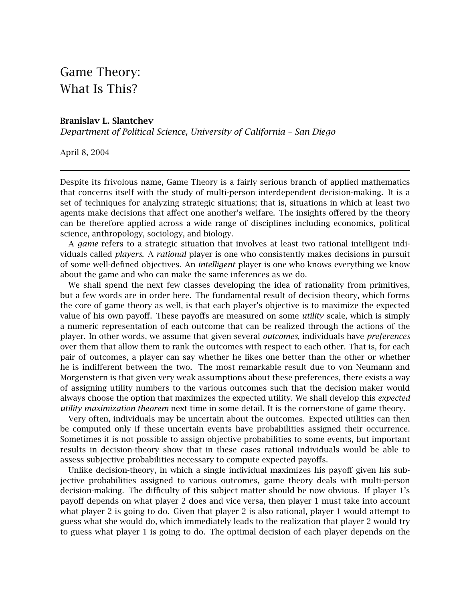## Game Theory: What Is This?

## **Branislav L. Slantchev**

*Department of Political Science, University of California – San Diego*

April 8, 2004

Despite its frivolous name, Game Theory is a fairly serious branch of applied mathematics that concerns itself with the study of multi-person interdependent decision-making. It is a set of techniques for analyzing strategic situations; that is, situations in which at least two agents make decisions that affect one another's welfare. The insights offered by the theory can be therefore applied across a wide range of disciplines including economics, political science, anthropology, sociology, and biology.

A *game* refers to a strategic situation that involves at least two rational intelligent individuals called *players*. A *rational* player is one who consistently makes decisions in pursuit of some well-defined objectives. An *intelligent* player is one who knows everything we know about the game and who can make the same inferences as we do.

We shall spend the next few classes developing the idea of rationality from primitives, but a few words are in order here. The fundamental result of decision theory, which forms the core of game theory as well, is that each player's objective is to maximize the expected value of his own payoff. These payoffs are measured on some *utility* scale, which is simply a numeric representation of each outcome that can be realized through the actions of the player. In other words, we assume that given several *outcomes*, individuals have *preferences* over them that allow them to rank the outcomes with respect to each other. That is, for each pair of outcomes, a player can say whether he likes one better than the other or whether he is indifferent between the two. The most remarkable result due to von Neumann and Morgenstern is that given very weak assumptions about these preferences, there exists a way of assigning utility numbers to the various outcomes such that the decision maker would always choose the option that maximizes the expected utility. We shall develop this *expected utility maximization theorem* next time in some detail. It is the cornerstone of game theory.

Very often, individuals may be uncertain about the outcomes. Expected utilities can then be computed only if these uncertain events have probabilities assigned their occurrence. Sometimes it is not possible to assign objective probabilities to some events, but important results in decision-theory show that in these cases rational individuals would be able to assess subjective probabilities necessary to compute expected payoffs.

Unlike decision-theory, in which a single individual maximizes his payoff given his subjective probabilities assigned to various outcomes, game theory deals with multi-person decision-making. The difficulty of this subject matter should be now obvious. If player 1's payoff depends on what player 2 does and vice versa, then player 1 must take into account what player 2 is going to do. Given that player 2 is also rational, player 1 would attempt to guess what she would do, which immediately leads to the realization that player 2 would try to guess what player 1 is going to do. The optimal decision of each player depends on the